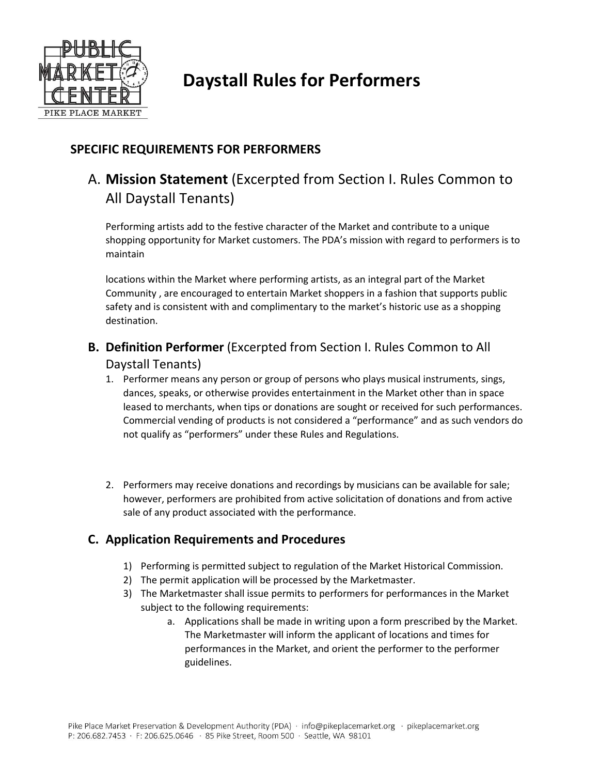

# **Daystall Rules for Performers**

### **SPECIFIC REQUIREMENTS FOR PERFORMERS**

## A. **Mission Statement** (Excerpted from Section I. Rules Common to All Daystall Tenants)

Performing artists add to the festive character of the Market and contribute to a unique shopping opportunity for Market customers. The PDA's mission with regard to performers is to maintain

locations within the Market where performing artists, as an integral part of the Market Community , are encouraged to entertain Market shoppers in a fashion that supports public safety and is consistent with and complimentary to the market's historic use as a shopping destination.

### **B. Definition Performer** (Excerpted from Section I. Rules Common to All Daystall Tenants)

- 1. Performer means any person or group of persons who plays musical instruments, sings, dances, speaks, or otherwise provides entertainment in the Market other than in space leased to merchants, when tips or donations are sought or received for such performances. Commercial vending of products is not considered a "performance" and as such vendors do not qualify as "performers" under these Rules and Regulations.
- 2. Performers may receive donations and recordings by musicians can be available for sale; however, performers are prohibited from active solicitation of donations and from active sale of any product associated with the performance.

### **C. Application Requirements and Procedures**

- 1) Performing is permitted subject to regulation of the Market Historical Commission.
- 2) The permit application will be processed by the Marketmaster.
- 3) The Marketmaster shall issue permits to performers for performances in the Market subject to the following requirements:
	- a. Applications shall be made in writing upon a form prescribed by the Market. The Marketmaster will inform the applicant of locations and times for performances in the Market, and orient the performer to the performer guidelines.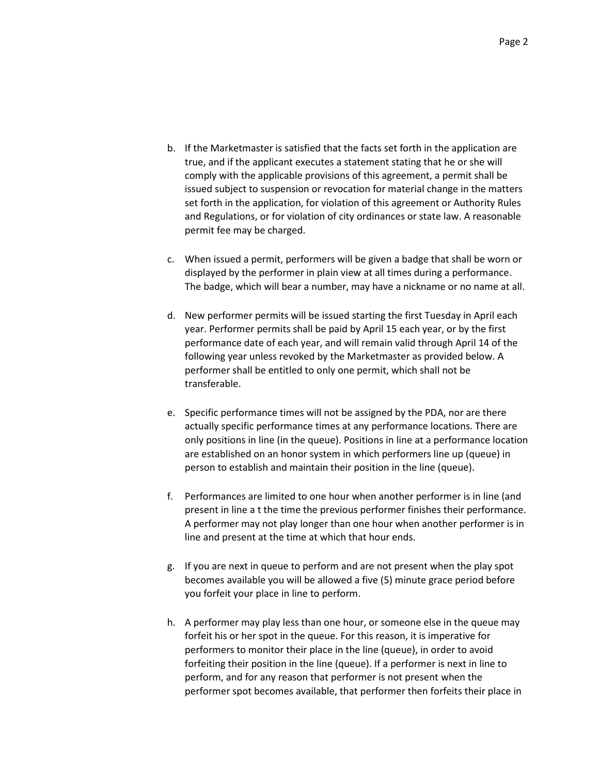- b. If the Marketmaster is satisfied that the facts set forth in the application are true, and if the applicant executes a statement stating that he or she will comply with the applicable provisions of this agreement, a permit shall be issued subject to suspension or revocation for material change in the matters set forth in the application, for violation of this agreement or Authority Rules and Regulations, or for violation of city ordinances or state law. A reasonable permit fee may be charged.
- c. When issued a permit, performers will be given a badge that shall be worn or displayed by the performer in plain view at all times during a performance. The badge, which will bear a number, may have a nickname or no name at all.
- d. New performer permits will be issued starting the first Tuesday in April each year. Performer permits shall be paid by April 15 each year, or by the first performance date of each year, and will remain valid through April 14 of the following year unless revoked by the Marketmaster as provided below. A performer shall be entitled to only one permit, which shall not be transferable.
- e. Specific performance times will not be assigned by the PDA, nor are there actually specific performance times at any performance locations. There are only positions in line (in the queue). Positions in line at a performance location are established on an honor system in which performers line up (queue) in person to establish and maintain their position in the line (queue).
- f. Performances are limited to one hour when another performer is in line (and present in line a t the time the previous performer finishes their performance. A performer may not play longer than one hour when another performer is in line and present at the time at which that hour ends.
- g. If you are next in queue to perform and are not present when the play spot becomes available you will be allowed a five (5) minute grace period before you forfeit your place in line to perform.
- h. A performer may play less than one hour, or someone else in the queue may forfeit his or her spot in the queue. For this reason, it is imperative for performers to monitor their place in the line (queue), in order to avoid forfeiting their position in the line (queue). If a performer is next in line to perform, and for any reason that performer is not present when the performer spot becomes available, that performer then forfeits their place in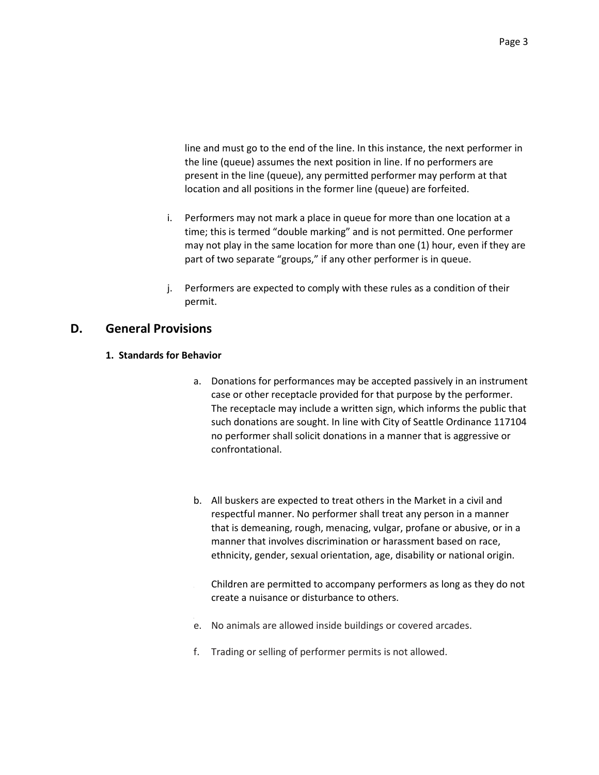line and must go to the end of the line. In this instance, the next performer in the line (queue) assumes the next position in line. If no performers are present in the line (queue), any permitted performer may perform at that location and all positions in the former line (queue) are forfeited.

- i. Performers may not mark a place in queue for more than one location at a time; this is termed "double marking" and is not permitted. One performer may not play in the same location for more than one (1) hour, even if they are part of two separate "groups," if any other performer is in queue.
- j. Performers are expected to comply with these rules as a condition of their permit.

### **D. General Provisions**

#### **1. Standards for Behavior**

- a. Donations for performances may be accepted passively in an instrument case or other receptacle provided for that purpose by the performer. The receptacle may include a written sign, which informs the public that such donations are sought. In line with City of Seattle Ordinance 117104 no performer shall solicit donations in a manner that is aggressive or confrontational.
- b. All buskers are expected to treat others in the Market in a civil and respectful manner. No performer shall treat any person in a manner that is demeaning, rough, menacing, vulgar, profane or abusive, or in a manner that involves discrimination or harassment based on race, ethnicity, gender, sexual orientation, age, disability or national origin.
	- Children are permitted to accompany performers as long as they do not create a nuisance or disturbance to others.
- e. No animals are allowed inside buildings or covered arcades.
- f. Trading or selling of performer permits is not allowed.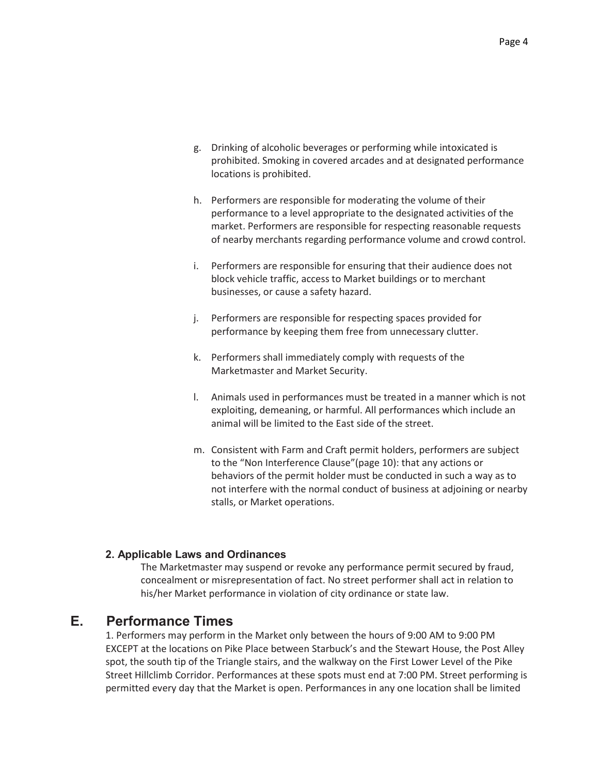- g. Drinking of alcoholic beverages or performing while intoxicated is prohibited. Smoking in covered arcades and at designated performance locations is prohibited.
- h. Performers are responsible for moderating the volume of their performance to a level appropriate to the designated activities of the market. Performers are responsible for respecting reasonable requests of nearby merchants regarding performance volume and crowd control.
- i. Performers are responsible for ensuring that their audience does not block vehicle traffic, access to Market buildings or to merchant businesses, or cause a safety hazard.
- j. Performers are responsible for respecting spaces provided for performance by keeping them free from unnecessary clutter.
- k. Performers shall immediately comply with requests of the Marketmaster and Market Security.
- l. Animals used in performances must be treated in a manner which is not exploiting, demeaning, or harmful. All performances which include an animal will be limited to the East side of the street.
- m. Consistent with Farm and Craft permit holders, performers are subject to the "Non Interference Clause"(page 10): that any actions or behaviors of the permit holder must be conducted in such a way as to not interfere with the normal conduct of business at adjoining or nearby stalls, or Market operations.

#### **2. Applicable Laws and Ordinances**

The Marketmaster may suspend or revoke any performance permit secured by fraud, concealment or misrepresentation of fact. No street performer shall act in relation to his/her Market performance in violation of city ordinance or state law.

### **E. Performance Times**

1. Performers may perform in the Market only between the hours of 9:00 AM to 9:00 PM EXCEPT at the locations on Pike Place between Starbuck's and the Stewart House, the Post Alley spot, the south tip of the Triangle stairs, and the walkway on the First Lower Level of the Pike Street Hillclimb Corridor. Performances at these spots must end at 7:00 PM. Street performing is permitted every day that the Market is open. Performances in any one location shall be limited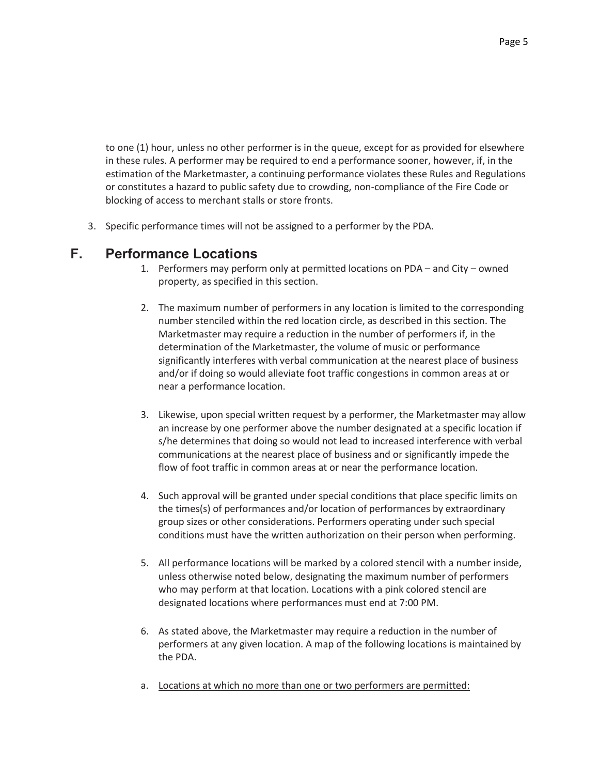to one (1) hour, unless no other performer is in the queue, except for as provided for elsewhere in these rules. A performer may be required to end a performance sooner, however, if, in the estimation of the Marketmaster, a continuing performance violates these Rules and Regulations or constitutes a hazard to public safety due to crowding, non-compliance of the Fire Code or blocking of access to merchant stalls or store fronts.

3. Specific performance times will not be assigned to a performer by the PDA.

### **F. Performance Locations**

- 1. Performers may perform only at permitted locations on PDA and City owned property, as specified in this section.
- 2. The maximum number of performers in any location is limited to the corresponding number stenciled within the red location circle, as described in this section. The Marketmaster may require a reduction in the number of performers if, in the determination of the Marketmaster, the volume of music or performance significantly interferes with verbal communication at the nearest place of business and/or if doing so would alleviate foot traffic congestions in common areas at or near a performance location.
- 3. Likewise, upon special written request by a performer, the Marketmaster may allow an increase by one performer above the number designated at a specific location if s/he determines that doing so would not lead to increased interference with verbal communications at the nearest place of business and or significantly impede the flow of foot traffic in common areas at or near the performance location.
- 4. Such approval will be granted under special conditions that place specific limits on the times(s) of performances and/or location of performances by extraordinary group sizes or other considerations. Performers operating under such special conditions must have the written authorization on their person when performing.
- 5. All performance locations will be marked by a colored stencil with a number inside, unless otherwise noted below, designating the maximum number of performers who may perform at that location. Locations with a pink colored stencil are designated locations where performances must end at 7:00 PM.
- 6. As stated above, the Marketmaster may require a reduction in the number of performers at any given location. A map of the following locations is maintained by the PDA.
- a. Locations at which no more than one or two performers are permitted: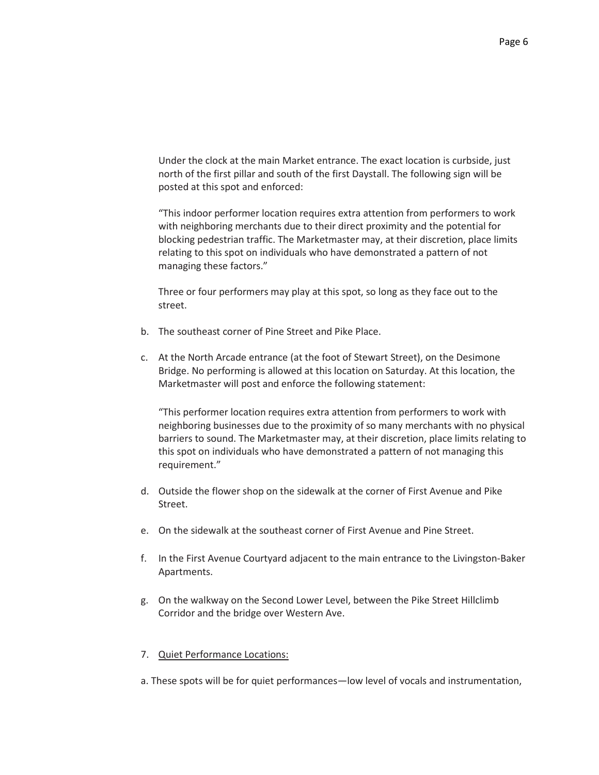Under the clock at the main Market entrance. The exact location is curbside, just north of the first pillar and south of the first Daystall. The following sign will be posted at this spot and enforced:

"This indoor performer location requires extra attention from performers to work with neighboring merchants due to their direct proximity and the potential for blocking pedestrian traffic. The Marketmaster may, at their discretion, place limits relating to this spot on individuals who have demonstrated a pattern of not managing these factors."

Three or four performers may play at this spot, so long as they face out to the street.

- b. The southeast corner of Pine Street and Pike Place.
- c. At the North Arcade entrance (at the foot of Stewart Street), on the Desimone Bridge. No performing is allowed at this location on Saturday. At this location, the Marketmaster will post and enforce the following statement:

"This performer location requires extra attention from performers to work with neighboring businesses due to the proximity of so many merchants with no physical barriers to sound. The Marketmaster may, at their discretion, place limits relating to this spot on individuals who have demonstrated a pattern of not managing this requirement."

- d. Outside the flower shop on the sidewalk at the corner of First Avenue and Pike Street.
- e. On the sidewalk at the southeast corner of First Avenue and Pine Street.
- f. In the First Avenue Courtyard adjacent to the main entrance to the Livingston-Baker Apartments.
- g. On the walkway on the Second Lower Level, between the Pike Street Hillclimb Corridor and the bridge over Western Ave.

#### 7. Quiet Performance Locations:

a. These spots will be for quiet performances—low level of vocals and instrumentation,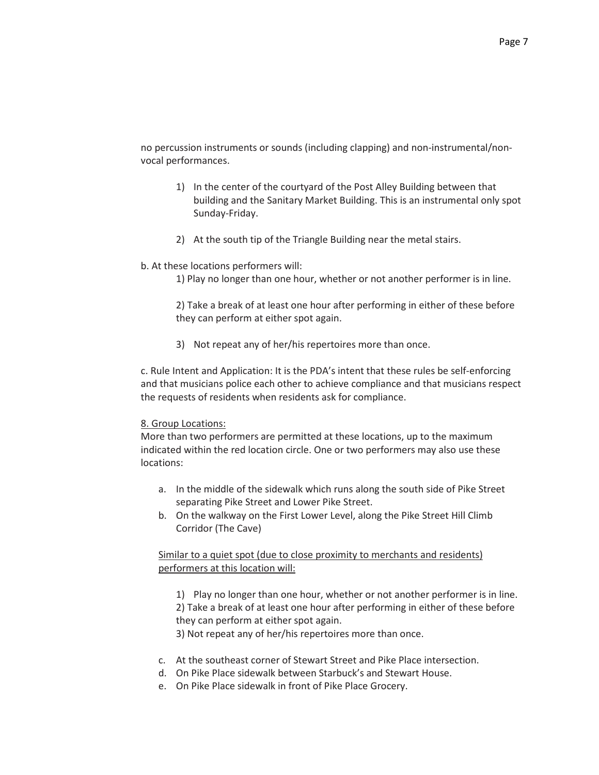no percussion instruments or sounds (including clapping) and non-instrumental/nonvocal performances.

- 1) In the center of the courtyard of the Post Alley Building between that building and the Sanitary Market Building. This is an instrumental only spot Sunday-Friday.
- 2) At the south tip of the Triangle Building near the metal stairs.

#### b. At these locations performers will:

1) Play no longer than one hour, whether or not another performer is in line.

2) Take a break of at least one hour after performing in either of these before they can perform at either spot again.

3) Not repeat any of her/his repertoires more than once.

c. Rule Intent and Application: It is the PDA's intent that these rules be self-enforcing and that musicians police each other to achieve compliance and that musicians respect the requests of residents when residents ask for compliance.

#### 8. Group Locations:

More than two performers are permitted at these locations, up to the maximum indicated within the red location circle. One or two performers may also use these locations:

- a. In the middle of the sidewalk which runs along the south side of Pike Street separating Pike Street and Lower Pike Street.
- b. On the walkway on the First Lower Level, along the Pike Street Hill Climb Corridor (The Cave)

Similar to a quiet spot (due to close proximity to merchants and residents) performers at this location will:

1) Play no longer than one hour, whether or not another performer is in line. 2) Take a break of at least one hour after performing in either of these before they can perform at either spot again.

3) Not repeat any of her/his repertoires more than once.

- c. At the southeast corner of Stewart Street and Pike Place intersection.
- d. On Pike Place sidewalk between Starbuck's and Stewart House.
- e. On Pike Place sidewalk in front of Pike Place Grocery.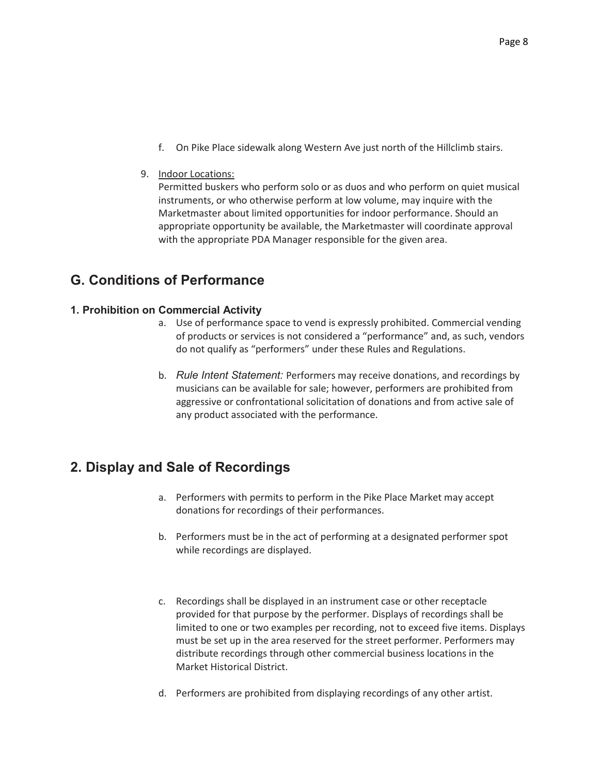f. On Pike Place sidewalk along Western Ave just north of the Hillclimb stairs.

#### 9. Indoor Locations:

Permitted buskers who perform solo or as duos and who perform on quiet musical instruments, or who otherwise perform at low volume, may inquire with the Marketmaster about limited opportunities for indoor performance. Should an appropriate opportunity be available, the Marketmaster will coordinate approval with the appropriate PDA Manager responsible for the given area.

### **G. Conditions of Performance**

#### **1. Prohibition on Commercial Activity**

- a. Use of performance space to vend is expressly prohibited. Commercial vending of products or services is not considered a "performance" and, as such, vendors do not qualify as "performers" under these Rules and Regulations.
- b. *Rule Intent Statement:* Performers may receive donations, and recordings by musicians can be available for sale; however, performers are prohibited from aggressive or confrontational solicitation of donations and from active sale of any product associated with the performance.

### **2. Display and Sale of Recordings**

- a. Performers with permits to perform in the Pike Place Market may accept donations for recordings of their performances.
- b. Performers must be in the act of performing at a designated performer spot while recordings are displayed.
- c. Recordings shall be displayed in an instrument case or other receptacle provided for that purpose by the performer. Displays of recordings shall be limited to one or two examples per recording, not to exceed five items. Displays must be set up in the area reserved for the street performer. Performers may distribute recordings through other commercial business locations in the Market Historical District.
- d. Performers are prohibited from displaying recordings of any other artist.